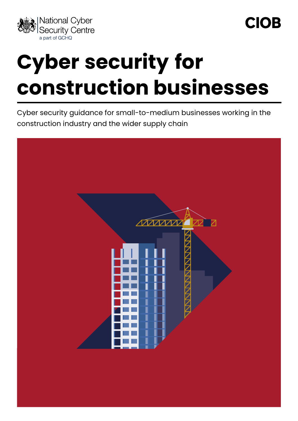

# **Cyber security for construction businesses**

Cyber security guidance for small-to-medium businesses working in the construction industry and the wider supply chain

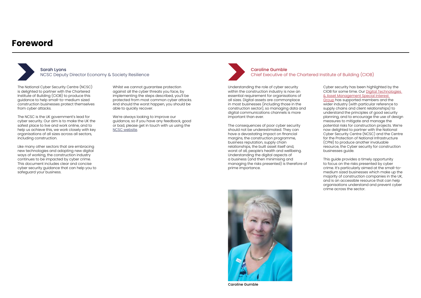### **Foreword**

The National Cyber Security Centre (NCSC) is delighted to partner with the Chartered Institute of Building (CIOB) to produce this guidance to help small-to-medium sized construction businesses protect themselves from cyber attacks.

The NCSC is the UK government's lead for cyber security. Our aim is to make the UK the safest place to live and work online, and to help us achieve this, we work closely with key organisations of all sizes across all sectors, including construction.

Like many other sectors that are embracing new technologies and adopting new digital ways of working, the construction industry continues to be impacted by cyber crime. This document includes clear and concise cyber security guidance that can help you to safeguard your business.

Whilst we cannot guarantee protection against all the cyber threats you face, by implementing the steps described, you'll be protected from most common cyber attacks. And should the worst happen, you should be able to quickly recover.

We're always looking to improve our guidance, so if you have any feedback, good or bad, please get in touch with us using the [NCSC website.](https://www.ncsc.gov.uk/section/about-this-website/contact-us)

Understanding the role of cyber security within the construction industry is now an essential requirement for organisations of all sizes. Digital assets are commonplace in most businesses (including those in the construction sector), so managing data and digital communications channels is more important than ever.

The consequences of poor cyber security should not be underestimated. They can have a devastating impact on financial margins, the construction programme, business reputation, supply chain relationships, the built asset itself and, worst of all, people's health and wellbeing. Understanding the digital aspects of a business (and then minimising and managing the risks presented) is therefore of prime importance.

Cyber security has been highlighted by the CIOB for some time. Our [Digital Technologies](https://www.ciob.org/search-results?keyword=digital%20technologies%20asset%20management)  [& Asset Management Special Interest](https://www.ciob.org/search-results?keyword=digital%20technologies%20asset%20management)  [Group](https://www.ciob.org/search-results?keyword=digital%20technologies%20asset%20management) has supported members and the wider industry (with particular reference to supply chains and client relationships) to understand the principles of good security planning, and to encourage the use of design measures to mitigate and manage the potential risks for construction projects. We're now delighted to partner with the National Cyber Security Centre (NCSC) and the Centre for the Protection of National Infrastructure (CPNI) to produce another invaluable resource, the Cyber security for construction businesses guide.

This guide provides a timely opportunity to focus on the risks presented by cyber crime. It's particularly aimed at the small-tomedium sized businesses which make up the majority of construction companies in the UK, and is an accessible resource that can help organisations understand and prevent cyber crime across the sector.



Caroline Gumble Chief Executive of the Chartered Institute of Building (CIOB)



Caroline Gumble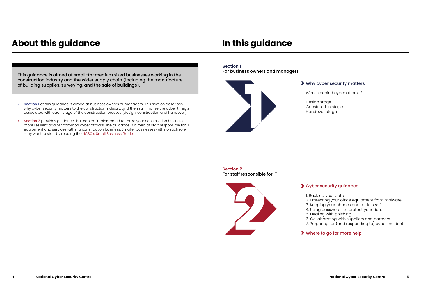### **About this guidance In this guidance**

This guidance is aimed at small-to-medium sized businesses working in the construction industry and the wider supply chain (including the manufacture of building supplies, surveying, and the sale of buildings).

- Section 1 of this guidance is aimed at business owners or managers. This section describes why cyber security matters to the construction industry, and then summarise the cyber threats associated with each stage of the construction process (design, construction and handover).
- **Section 2** provides guidance that can be implemented to make your construction business more resilient against common cyber attacks. The guidance is aimed at staff responsible for IT equipment and services within a construction business. Smaller businesses with no such role may want to start by reading the [NCSC's Small Business Guide.](https://www.ncsc.gov.uk/collection/small-business-guide)

1. Back up your data 2. Protecting your office equipment from malware 3. Keeping your phones and tablets safe 4. Using passwords to protect your data 5. Dealing with phishing 6. Collaborating with suppliers and partners 7. Preparing for (and responding to) cyber incidents

#### Where to go for more help



### **Section 2**  For staff responsible for IT



### Why cyber security matters

Who is behind cyber attacks?

Design stage Construction stage Handover stage

### **>** Cyber security guidance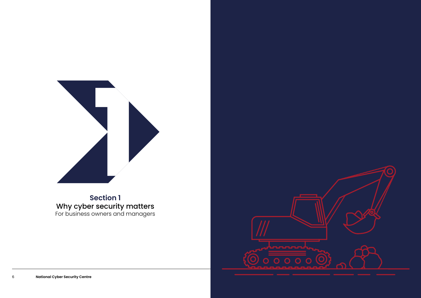

### **Section 1**  Why cyber security matters For business owners and managers

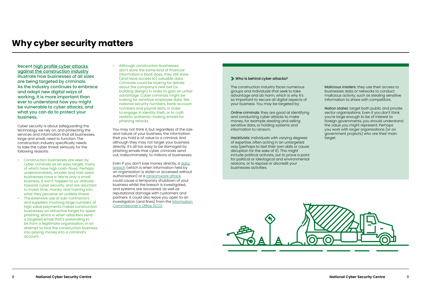Recent [high profile cyber attacks](https://www.bbc.co.uk/news/uk-england-birmingham-55208202)  [against the construction industry](https://www.bbc.co.uk/news/uk-england-birmingham-55208202) illustrate how businesses of all sizes are being targeted by criminals. As the industry continues to embrace and adopt new digital ways of working, it is more important than ever to understand how you might be vulnerable to cyber attacks, and what you can do to protect your business.

Cyber security is about safeguarding the technology we rely on, and protecting the services and information that all businesses, large and small, need to function. The construction industry specifically needs to take the cyber threat seriously for the following reasons:

- Construction businesses are seen by cyber criminals as an easy target, many of which have high cash-flows. Perhaps understandably, smaller and mid-sized businesses have a 'We're only a small business, it won't happen to us' attitude towards cyber security, and are reluctant to invest time, money, and training into what they perceive an unlikely threat.
- The extensive use of sub-contractors and suppliers involving large numbers of high value payments makes construction businesses an attractive target for spear phishing, which is when attackers send a targeted email that's pretending to be from a legitimate organisation, in an attempt to trick the construction business into paying money into a criminal's account.

Even if you don't lose money directly, a data [breach](https://www.ncsc.gov.uk/guidance/data-breaches) (which is when information held by an organisation is stolen or accessed without authorisation) or a [ransomware attack](https://www.ncsc.gov.uk/blog-post/what-board-members-should-know-about-ransomware) could cause a temporary shutdown of your business whilst the breach is investigated, and systems are recovered, as well as reputational damage with customers and partners. It could also leave you open to an investigation (and fines) from the [Information](https://ico.org.uk/for-organisations/guide-to-data-protection/introduction-to-dpa-2018/some-basic-concepts/)  [Commissioner's Office \(ICO\)](https://ico.org.uk/for-organisations/guide-to-data-protection/introduction-to-dpa-2018/some-basic-concepts/).

• Although construction businesses don't store the same kind of financial information a bank does, they still store (and have access to) valuable data. Criminals could be looking for details about the company's next bid (or building design) in order to gain an unfair advantage. Cyber criminals might be looking for sensitive employee data, like national security numbers, bank account numbers and payroll data, in order to engage in identity theft, or to craft realistic authentic-looking emails for phishing attacks.

You may not think it, but regardless of the size and nature of your business, the information that you hold is of value to a criminal. And although they may not target your business directly, it's all too easy to be damaged by phishing emails that cyber criminals send out, indiscriminately, to millions of businesses.

### **Why cyber security matters**

#### Who is behind cyber attacks?

The construction industry faces numerous groups and individuals that seek to take advantage and do harm, which is why it's so important to secure all digital aspects of your business. You may be targeted by:

Online criminals: they are good at identifying and conducting cyber attacks to make money, for example stealing and selling sensitive data, or holding systems and information to ransom.

Hacktivists: individuals with varying degrees of expertise, often acting in an untargeted way (perhaps to test their own skills or cause disruption for the sake of it). This might include political activists, out to prove a point for political or ideological and environmental reasons, or to expose or discredit your businesses activities.



Malicious insiders: they use their access to businesses data or networks to conduct malicious activity, such as stealing sensitive information to share with competitors.

Nation states: target both public and private sector organisations. Even if you don't think you're large enough to be of interest to foreign governments, you should understand the value you might represent. Perhaps you work with larger organisations (or on government projects) who are their main target.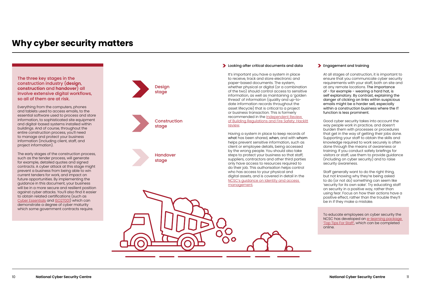#### **Engagement and training**

The three key stages in the construction industry (**design**, **construction** and **handover**) all involve extensive digital workflows, so all of them are at risk.

Everything from the computers, phones and tablets used to access emails, to the essential software used to process and store information, to sophisticated site equipment and digital-based systems installed within buildings. And of course, throughout the entire construction process, you'll need to manage and protect your business information (including client, staff, and project information).

The early stages of the construction process, such as the tender process, will generate for example, detailed quotes and signed contracts. A cyber attack at this stage might prevent a business from being able to win current tenders for work, and impact on future opportunities. By implementing the guidance in this document, your business will be in a more secure and resilient position against cyber attacks. You'll also find it easier to obtain related certifications (such as [Cyber Essentials](https://www.ncsc.gov.uk/cyberessentials/overview) and [ISO27001](https://www.iso.org/isoiec-27001-information-security.html)) which can demonstrate a degree of cyber maturity which some government contracts require.

It's important you have a system in place to receive, track and store electronic and paper-based documents. The system, whether physical or digital (or a combination of the two) should control access to sensitive information, as well as maintaining a 'golden thread' of information (quality and up-todate information records throughout the asset lifecycle) that is critical to a project or business transaction. This is formerly recommended in the Independent Review [of Building Regulations and Fire Safety: Hackitt](https://www.gov.uk/government/collections/independent-review-of-building-regulations-and-fire-safety-hackitt-review)  [review.](https://www.gov.uk/government/collections/independent-review-of-building-regulations-and-fire-safety-hackitt-review)

Having a system in place to keep records of what has been shared, when, and with whom helps prevent sensitive information, such as client or employee details, being accessed by the wrong people. You should also take steps to protect your business so that staff, suppliers, contractors and other third parties only have access to resources required to do their job. This authorisation helps control who has access to your physical and digital assets, and is covered in detail in the [NCSC's guidance on Identity and access](https://www.ncsc.gov.uk/collection/10-steps/identity-and-access-management)  [management](https://www.ncsc.gov.uk/collection/10-steps/identity-and-access-management).

At all stages of construction, it is important to ensure that you communicate cyber security requirements with your staff, both on site and at any remote locations. The importance of - for example - wearing a hard hat, is self explanatory. By contrast, explaining the danger of clicking on links within suspicious emails might be a harder sell, especially within a construction business where the IT function is less prominent.

Good cyber security takes into account the way people work in practice, and doesn't burden them with processes or procedures that get in the way of getting their jobs done. Supporting your staff to obtain the skills and knowledge required to work securely is often done through the means of awareness or training. If you conduct safety briefings for visitors or staff, use them to provide guidance (including on cyber security) and to raise security awareness.

Staff generally want to do the right thing, but not knowing why they're being asked to do (or not do) something can seem like 'security for its own sake'. Try educating staff on security in a positive way, rather than using fear. Focus on how their actions have a positive effect, rather than the trouble they'll be in if they make a mistake.

To educate employees on cyber security the NCSC has developed an e-learning package ['Top Tips For Staff',](https://www.ncsc.gov.uk/blog-post/ncsc-cyber-security-training-for-staff-now-available) which can be completed online.



#### **Looking after critical documents and data**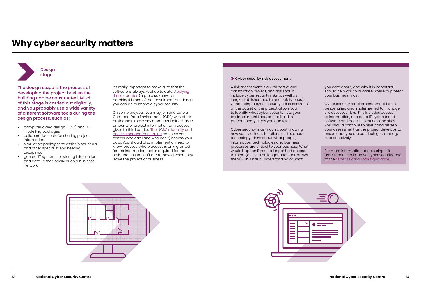The design stage is the process of developing the project brief so the building can be constructed. Much of this stage is carried out digitally, and you probably use a wide variety of different software tools during the design process, such as:

- computer aided design (CAD) and 3D modelling packages
- collaboration tools for sharing project information
- simulation packages to assist in structural and other specialist engineering disciplines
- general IT systems for storing information and data (either locally or on a business network

It's really important to make sure that the software is always kept up to date. [Applying](https://www.ncsc.gov.uk/guidance/vulnerability-management)  [these updates](https://www.ncsc.gov.uk/guidance/vulnerability-management) (a process known as patching) is one of the most important things you can do to improve cyber security.

On some projects, you may join or create a Common Data Environment (CDE) with other businesses. These environments include large amounts of project information with access given to third parties. [The NCSC's identity and](https://www.ncsc.gov.uk/collection/10-steps/identity-and-access-management)  [access management guide](https://www.ncsc.gov.uk/collection/10-steps/identity-and-access-management) can help you control who can (and who can't) access your data. You should also implement a 'need to know' process, where access is only granted for the information that is required for that task, and ensure staff are removed when they leave the project or business.

### stage contraction of the contraction of the cyber security risk assessment



A risk assessment is a vital part of any construction project, and this should include cyber security risks (as well as long-established health and safety ones). Conducting a cyber security risk assessment at the outset of the project allows you to identify what cyber security risks your business might face, and to build in precautionary steps you can take.

Cyber security is as much about knowing how your business functions as it is about technology. Think about what people, information, technologies and business processes are critical to your business. What would happen if you no longer had access to them (or if you no longer had control over them)? This basic understanding of what





you care about, and why it is important, should help you to prioritise where to protect your business most.

Cyber security requirements should then be identified and implemented to manage the assessed risks. This includes access to information, access to IT systems and software and access to offices and sites. You should continue to revisit and refresh your assessment as the project develops to ensure that you are continuing to manage risks effectively.

For more information about using risk assessments to improve cyber security, refer to the [NCSC's Board Toolkit guidance.](https://www.ncsc.gov.uk/collection/board-toolkit/risk-management-for-cyber-security)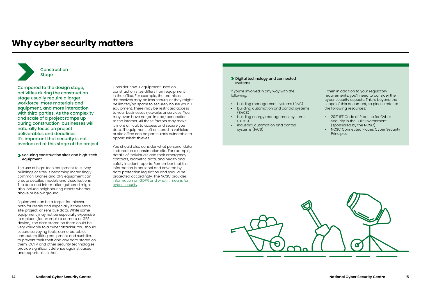#### Securing construction sites and high-tech equipment

The use of high-tech equipment to survey buildings or sites is becoming increasingly common. Drones and GPS equipment can create detailed models and visualisations. The data and information gathered might also include neighbouring assets whether above or below ground.

Equipment can be a target for thieves, both for resale and especially if they store site, project, or sensitive data. While some equipment may not be especially expensive to replace (for example a camera or GPS device), the data stored on them could be very valuable to a cyber attacker. You should secure surveying tools, cameras, tablet computers, lifting equipment and suchlike, to prevent their theft and any data stored on them. CCTV and other security technologies provide significant defence against casual and opportunistic theft.

### Stage Stage Digital technology and connected systems

Consider how IT equipment used on construction sites differs from equipment in the office. For example, the premises themselves may be less secure, or they might be limited/no space to securely house your IT equipment. There may be restricted access to your businesses networks or services. You may even have no (or limited) connection to the internet. All these factors may make it more difficult to access and secure you data. IT equipment left or stored in vehicles or site office can be particularly vulnerable to opportunistic thieves.

- 2021 IET Code of Practice for Cyber Security in the Built Environment (sponsored by the NCSC)
- NCSC Connected Places Cyber Security **Principles**

You should also consider what personal data is stored on a construction site. For example, details of individuals and their emergency contacts, biometric data, and health and safety incident reports. Remember that this information is personal and covered by data protection legislation and should be protected accordingly. The NCSC provides [information on GDPR and what it means for](https://www.ncsc.gov.uk/information/GDPR)  [cyber security.](https://www.ncsc.gov.uk/information/GDPR)

Compared to the design stage, activities during the construction stage usually require a larger workforce, more materials and equipment, and more interaction with third parties. As the complexity and scale of a project ramps up during construction, businesses will naturally focus on project deliverables and deadlines. It's important that security is not overlooked at this stage of the project.



If you're involved in any way with the following:

- building management systems (BMS)
- building automation and control systems (BACS)
- building energy management systems (BEMS)
- industrial automation and control systems (IACS)



- then in addition to your regulatory requirements, you'll need to consider the cyber security aspects. This is beyond the scope of this document, so please refer to the following resources: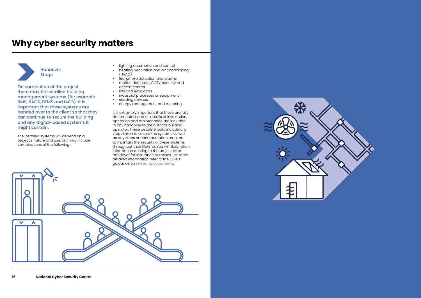On completion of the project, there may be installed building management systems (for example BMS, BACS, BEMS and IACS). It is important that these systems are handed over to the client so that they can continue to secure the building and any digital-based systems it might contain.

The installed systems will depend on a project's nature and use, but may include combinations of the following:

- lighting automation and control
- heating, ventilation and air conditioning (HVAC)
- fire, smoke detection and alarms
- motion detectors, CCTV, security and access control
- lifts and escalators<br>• industrial processes
- industrial processes or equipment
- shading devices
- energy management and metering

It is extremely important that these are fully documented, and all details of installation, operation and maintenance are included in any handover to the client or building operator. These details should include any steps taken to secure the systems as well as any steps or documentation required to maintain the security of these systems throughout their lifetime. You will likely retain information relating to the project after handover for insurance purposes. For more detailed information refer to the CPNI's guidance on [releasing documents](https://www.cpni.gov.uk/security-minded-approach-information-management).





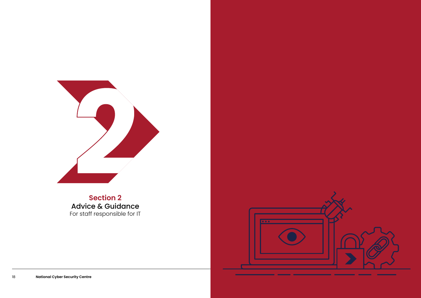

### **Section 2**  Advice & Guidance For staff responsible for IT

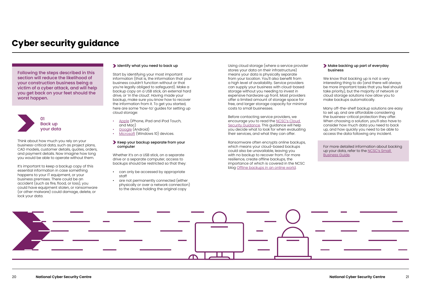Following the steps described in this section will reduce the likelihood of your construction business being a victim of a cyber attack, and will help you get back on your feet should the worst happen.

Think about how much you rely on your business-critical data, such as project plans, CAD models, customer details, quotes, orders, and payment details. Now imagine how long you would be able to operate without them.

It's important to keep a backup copy of this essential information in case something happens to your IT equipment, or your business premises. There could be an accident (such as fire, flood, or loss), you could have equipment stolen, or ransomware (or other malware) could damage, delete, or lock your data.

#### Identify what you need to back up

Start by identifying your most important information (that is, the information that your business couldn't function without or that you're legally obliged to safeguard). Make a backup copy on a USB stick, an external hard drive, or 'in the cloud'. Having made your backup, make sure you know how to recover the information from it. To get you started, here are some 'how-to' guides for setting up cloud storage:

- [Apple](https://support.apple.com/icloud) (iPhone, iPad and iPod Touch, and Mac)
- [Google](https://www.google.com/drive/) (Android)
- [Microsoft](https://support.microsoft.com/en-us/office/sync-files-with-onedrive-in-windows-615391c4-2bd3-4aae-a42a-858262e42a49) (Windows 10) devices.
- Keep your backup separate from your computer

#### Make backing up part of everyday business

We know that backing up is not a very interesting thing to do (and there will always be more important tasks that you feel should take priority), but the majority of network or cloud storage solutions now allow you to make backups automatically.

Whether it's on a USB stick, on a separate drive or a separate computer, access to backups should be restricted so that they:

- can only be accessed by appropriate staff
- are not permanently connected (either physically or over a network connection) to the device holding the original copy

Using cloud storage (where a service provider stores your data on their infrastructure) means your data is physically separate from your location. You'll also benefit from a high level of availability. Service providers can supply your business with cloud-based storage without you needing to invest in expensive hardware up front. Most providers offer a limited amount of storage space for free, and larger storage capacity for minimal costs to small businesses.

Before contacting service providers, we encourage you to read the [NCSC's Cloud](https://www.ncsc.gov.uk/collection/cloud-security)  [Security Guidance.](https://www.ncsc.gov.uk/collection/cloud-security) This guidance will help you decide what to look for when evaluating their services, and what they can offer.

Ransomware often encrypts online backups, which means your cloud-based backups could also be unavailable, leaving you with no backup to recover from. For more resilience, create offline backups, the importance of which is covered in the NCSC blog [Offline backups in an online world](https://www.ncsc.gov.uk/blog-post/offline-backups-in-an-online-world).



Many off-the-shelf backup solutions are easy to set up, and are affordable considering the business-critical protection they offer. When choosing a solution, you'll also have to consider how much data you need to back up, and how quickly you need to be able to access the data following any incident.

For more detailed information about backing up your data, refer to the [NCSC's Small](https://www.ncsc.gov.uk/collection/small-business-guide/backing-your-data)  [Business Guide.](https://www.ncsc.gov.uk/collection/small-business-guide/backing-your-data)

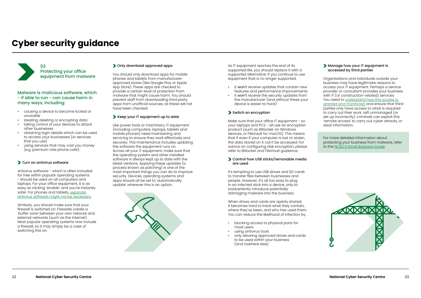#### Manage how your IT equipment is accessed by third parties

Organisations and individuals outside your business may have legitimate reasons to access your IT equipment. Perhaps a service provider or consultant provides your business with IT (or construction-related) services. You need to [understand how this access is](https://www.ncsc.gov.uk/collection/secure-system-administration)  [granted and monitored,](https://www.ncsc.gov.uk/collection/secure-system-administration) and ensure that third parties only have access to what is required to carry out their work. Left unmanaged (or set up incorrectly), criminals can exploit this 'remote access' to carry out cyber attacks, or steal information.

For more detailed information about protecting your business from malware, refer to the [NCSC's Small Business Guide](https://www.ncsc.gov.uk/collection/small-business-guide/protecting-your-organisation-malware).



# **Cyber security guidance**

#### Malware is malicious software, which - if able to run - can cause harm in many ways, including:

- causing a device to become locked or unusable
- stealing, deleting or encrypting data
- taking control of your devices to attack other businesses
- obtaining login details which can be used to access your businesses (or services that you use)
- using services that may cost you money (e.g. premium rate phone calls).

#### Turn on antivirus software

Antivirus software - which is often included for free within popular operating systems - should be used on all computers and laptops. For your office equipment, it is as easy as clicking 'enable', and you're instantly safer. For phones and tablets, [separate](Malware is malicious software, which - if able to run - can cause harm in many ways, including:
•	causing a device to become locked or unusable
•	stealing, deleting or encrypting data
•	taking control of your devices to attack other businesses
•	obtaining login details which can be used to access your businesses (or services that you use)
•	using services that may cost you money (e.g. premium rate phone calls).
Turn on antivirus software
Antivirus software - which is often included for free within popular operating systems - should be used on all computers and laptops. For your office equipment, it is as easy as clicking )  [antivirus software might not be necessary](Malware is malicious software, which - if able to run - can cause harm in many ways, including:
•	causing a device to become locked or unusable
•	stealing, deleting or encrypting data
•	taking control of your devices to attack other businesses
•	obtaining login details which can be used to access your businesses (or services that you use)
•	using services that may cost you money (e.g. premium rate phone calls).
Turn on antivirus software
Antivirus software - which is often included for free within popular operating systems - should be used on all computers and laptops. For your office equipment, it is as easy as clicking ).

Similarly, you should make sure that your firewall is switched on. Firewalls create a 'buffer zone' between your own network and external networks (such as the Internet). Most popular operating systems now include a firewall, so it may simply be a case of switching this on.

#### Only download approved apps

Make sure that your office IT equipment - so your laptops and PCs - all use an encryption product (such as Bitlocker on Windows devices, or FileVault for macOS). This means that if even if your computer is lost or stolen, the data stored on it can't be accessed. For advice on configuring disk encryption, please refer to Bitlocker and FileVault guidance.

#### Control how USB sticks/removable media are used

You should only download apps for mobile phones and tablets from manufacturerapproved stores (like Google Play or Apple App Store). These apps are checked to provide a certain level of protection from malware that might cause harm. You should prevent staff from downloading third party apps from unofficial sources, as these will not have been checked.

#### Keep your IT equipment up to date

Like power tools or machinery, IT equipment (including computers, laptops, tablets and mobile phones) need maintaining and servicing to ensure they work effectively and securely. This maintenance includes updating the software the equipment runs on. Across all your IT equipment, make sure that the operating system and other installed software is always kept up to date with the latest versions. Applying these updates (a process known as patching) is one of the most important things you can do to improve security. Devices, operating systems and apps should all be set to 'automatically update' wherever this is an option.





As IT equipment reaches the end of its supported life, you should replace it with a supported alternative. If you continue to use equipment that is no longer supported:

- it won't receive updates that contain new features and performance improvements
- it won't receive the security updates from the manufacturer (and without these your device is easier to hack)

#### Switch on encryption

It's tempting to use USB drives and SD cards to transfer files between businesses and people. However, it's all too easy to plug in an infected stick into a device, only to inadvertently introduce potentially damaging malware into the business.

When drives and cards are openly shared, it becomes hard to track what they contain, where they've been, and who has used them. You can reduce the likelihood of infection by:

- blocking access to physical ports for most users
- using antivirus tools
- only allowing approved drives and cards to be used within your business (and nowhere else)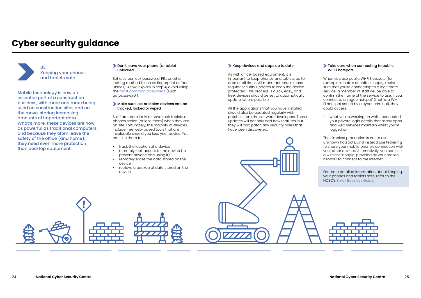#### **Don't leave your phone (or tablet**) unlocked

Mobile technology is now an essential part of a construction business, with more and more being used on construction sites and on the move, storing increasing amounts of important data. What's more, these devices are now as powerful as traditional computers, and because they often leave the safety of the office (and home), they need even more protection than desktop equipment.

Set a screenlock password, PIN, or other locking method (such as fingerprint or face unlock). As we explain in step 4, avoid using the [most common passwords](https://www.zdnet.com/article/the-worst-passwords-of-2020-show-we-are-as-lazy-about-security-as-ever/) (such as '*password*').

#### Make sure lost or stolen devices can be tracked, locked or wiped

Staff are more likely to have their tablets or phones stolen (or lose them) when they are on site. Fortunately, the majority of devices include free web-based tools that are invaluable should you lose your device. You can use them to:

#### Take care when connecting to public Wi-Fi hotspots

- track the location of a device
- remotely lock access to the device (to prevent anyone else using it)
- remotely erase the data stored on the device
- retrieve a backup of data stored on the device

#### Keep devices and apps up to date

As with office-based equipment, it is important to keep phones and tablets up to date at all times. All manufacturers release regular security updates to keep the device protected. This process is quick, easy, and free; devices should be set to automatically update, where possible.

All the applications that you have installed should also be updated regularly with patches from the software developers. These updates will not only add new features, but they will also patch any security holes that have been discovered.

When you use public Wi-Fi hotspots (for example in hotels or coffee shops), make sure that you're connecting to a legitimate service; a member of staff will be able to confirm the name of the service to use. If you connect to a 'rogue hotspot' (that is, a Wi-Fi hot spot set up by a cyber criminal), they could access:

- what you're working on whilst connected
- your private login details that many apps and web services maintain whilst you're logged on

The simplest precaution is not to use unknown hotspots, and instead use tethering to share your mobile phone's connection with your other devices. Alternatively, you can use a wireless 'dongle' provided by your mobile network to connect to the internet.

For more detailed information about keeping your phones and tablets safe, refer to the NCSC's [Small Business Guide.](https://www.ncsc.gov.uk/collection/small-business-guide/keeping-your-smartphones-and-tablets-safe)



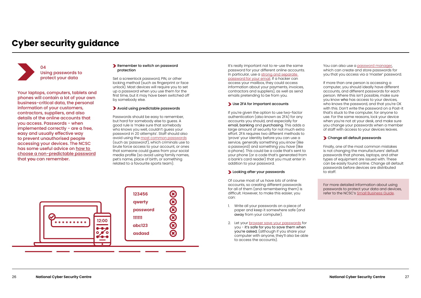#### **Remember to switch on password** protection

Set a screenlock password, PIN, or other locking method (such as fingerprint or face unlock). Most devices will require you to set up a password when you use them for the first time, but it may have been switched off by somebody else.

Your laptops, computers, tablets and phones will contain a lot of your own business-critical data, the personal information of your customers, contractors, suppliers, and also details of the online accounts that you access. Passwords - when implemented correctly - are a free, easy and usually effective way to prevent unauthorised people accessing your devices. The NCSC has some useful advice on [how to](https://www.ncsc.gov.uk/blog-post/three-random-words-or-thinkrandom-0)  [choose a non-predictable password](https://www.ncsc.gov.uk/blog-post/three-random-words-or-thinkrandom-0) that **you** can remember.

#### Avoid using predictable passwords

Passwords should be easy to remember, but hard for somebody else to guess. A good rule is 'make sure that somebody who knows you well, couldn't guess your password in 20 attempts'. Staff should also avoid using the [most common passwords](https://www.zdnet.com/article/the-worst-passwords-of-2020-show-we-are-as-lazy-about-security-as-ever/) (such as '*password*'), which criminals use to brute force access to your account, or ones that someone could guess from your social media profile (so avoid using family names, pet's name, place of birth, or something related to a favourite sports team).

You can also use a [password manager](https://www.ncsc.gov.uk/collection/top-tips-for-staying-secure-online/password-managers), which can create and store passwords for you that you access via a 'master' password.

It's really important not to re-use the same password for your different online accounts. In particular, use a [strong and separate](https://www.ncsc.gov.uk/cyberaware/home#action-1)  [password for your email.](https://www.ncsc.gov.uk/cyberaware/home#action-1) If a hacker can access your mailbox, they could access information about your payments, invoices, contractors and suppliers), as well as send emails pretending to be from you.

#### Use 2FA for important accounts

If you're given the option to use two-factor authentication (also known as 2FA) for any accounts you should, and especially for email, banking and purchasing. This adds a large amount of security for not much extra effort. 2FA requires two different methods to 'prove' your identity before you can use a service, generally something you *know* (like a password) and something you *have* (like a phone). This could be a code that's sent to your phone (or a code that's generated from a bank's card reader) that you must enter in addition to your password.

#### **Looking after your passwords**

Of course most of us have *lots* of online accounts, so creating different passwords for all of them (and remembering them) is difficult. However, to make this easier, you can:

- 1. Write all your passwords on a piece of paper and keep it somewhere safe (and away from your computer).
- 2. Let your [browser save your passwords](https://www.ncsc.gov.uk/cyberaware/home#action-3) for you - it's safe for you to save them when you're asked, (although if you share your computer with anyone, they'll also be able to access the accounts).

If more than one person is accessing a computer, you should ideally have different accounts, and different passwords for each person. Where this isn't possible, make sure you know who has access to your devices, who knows the password, and that you're OK with this. Don't write the password on a Post-it that's stuck to the computer, for anyone to use. For the same reasons, lock your device when you're not at your desk, and make sure you change your passwords when a member of staff with access to your devices leaves.

#### Change all default passwords

Finally, one of the most common mistakes is not changing the manufacturers' default passwords that phones, laptops, and other types of equipment are issued with. These can be easily found online. Change all default passwords before devices are distributed to staff.

For more detailed information about using passwords to protect your data and devices, refer to the NCSC's [Small Business Guide.](https://www.ncsc.gov.uk/collection/small-business-guide/using-passwords-protect-your-data)



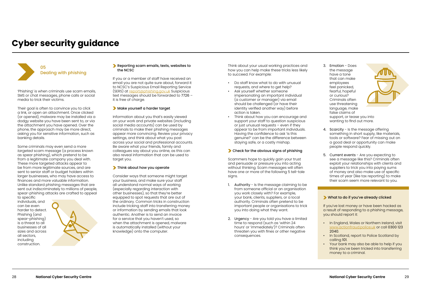'Phishing' is when criminals use scam emails, SMS or chat messages, phone calls or social media to trick their victims.

Their goal is often to convince you to click a link, or open an attachment. Once clicked (or opened), malware may be installed via a dodgy website you have been sent to, or via the attachment you have opened. Over the phone, the approach may be more direct, asking you for sensitive information, such as banking details.

Some criminals may even send a more *targeted* scam message (a process known as spear phishing), which pretend to be from a legitimate company you deal with. These more targeted attacks appear to be from more legitimate sources, and are sent to senior staff or budget holders within larger businesses, who may have access to finances and more valuable information. Unlike standard phishing messages that are sent out indiscriminately to millions of people, spear-phishing attacks are crafted to appeal

to specific individuals, and can be even harder to detect. Phishing (and spear-phishing) is a threat to all businesses of all sizes and across all sectors, including construction.



#### Reporting scam emails, texts, websites to the NCSC

If you or a member of staff have received an email you are not quite sure about, forward it to NCSC's Suspicious Email Reporting Service (SERS) at [report@phishing.gov.uk](mailto:report@phishing.gov.uk) Suspicious text messages should be forwarded to 7726 – it is free of charge.

#### Make yourself a harder target

Information about you that's easily viewed on your work and private websites (including social media accounts) can be used by criminals to make their phishing messages appear more convincing. Review your privacy settings, and think about what you post across your social and professional accounts. Be aware what your friends, family and colleagues say about you online, as this can also reveal information that can be used to target you.

#### **Think about how you operate**

- 1. Authority Is the message claiming to be from someone official or an organisation you work closely with? For example, your bank, clients, suppliers, or a local authority. Criminals often pretend to be important people or organisations to trick you into doing what they want.
- 2. Urgency Are you told you have a limited time to respond (such as 'within 24 hours' or 'immediately')? Criminals often threaten you with fines or other negative consequences.

Consider ways that someone might target your business, and make sure your staff all understand normal ways of working (especially regarding interaction with other businesses), so that they're better equipped to spot requests that are out of the ordinary. Common tricks in construction include tricking staff into transferring money or information by sending emails that look authentic. Another is to send an invoice for a service that you haven't used, so when the attachment is opened, malware is automatically installed (without your knowledge) onto the computer.

Think about your usual working practices and how you can help make these tricks less likely to succeed. For example:

- Do staff know what to do with unusual requests, and where to get help?
- Ask yourself whether someone impersonating an important individual (a customer or manager) via email should be challenged (or have their identity verified another way) before action is taken.
- Think about how you can encourage and support your staff to question suspicious or just unusual requests – even if they appear to be from important individuals. Having the confidence to ask 'is this genuine?' can be the difference between staying safe, or a costly mishap.

#### **Check for the obvious signs of phishing**

Scammers hope to quickly gain your trust and persuade or pressure you into acting without thinking. Scam messages will often have one or more of the following 5 tell-tale signs.

- 3. Emotion Does the message have a tone that can make employees feel panicked, fearful, hopeful or curious? Criminals often use threatening language, make false claims of support, or tease you into wanting to find out more.
- 4. Scarcity Is the message offering something in short supply, like materials, tools or software? Fear of missing out on a good deal or opportunity can make people respond quickly.
- 5. Current events Are you expecting to see a message like this? Criminals often exploit your relationships with clients and suppliers to trick you into paying sums of money and also make use of specific times of year (like tax reporting) to make their scam seem more relevant to you.

#### What to do if you've already clicked

If you've lost money or have been hacked as a result of responding to a phishing message, you should report it:

- In England, Wales or Northern Ireland, visit [www.actionfraud.police.uk](http://www.actionfraud.police.uk) or call 0300 123 2040.
- In Scotland, report to Police Scotland by calling 101.
- Your bank may also be able to help if you think you've been tricked into transferring money to a criminal.

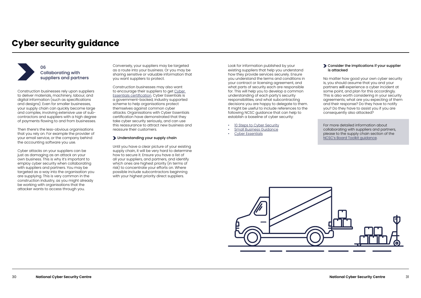Construction businesses rely upon suppliers to deliver materials, machinery, labour, and digital information (such as specifications and designs). Even for smaller businesses, your supply chain can quickly become large and complex, involving extensive use of subcontractors and suppliers with a high degree of payments flowing to and from businesses.

Then there's the less-obvious organisations that you rely on. For example the provider of your email service, or the company behind the accounting software you use.

Cyber attacks on your suppliers can be just as damaging as an attack on your own business. This is why it's important to employ cyber security when collaborating with suppliers and partners. You may be targeted as a way into the organisation you are supplying. This is very common in the construction industry, as you might already be working with organisations that the attacker wants to access through you.

Conversely, your suppliers may be targeted as a route into your business. Or you may be sharing sensitive or valuable information that you want suppliers to protect.

Construction businesses may also want to encourage their suppliers to get [Cyber](https://www.ncsc.gov.uk/cyberessentials/overview)  [Essentials certification](https://www.ncsc.gov.uk/cyberessentials/overview). Cyber Essentials is a government-backed, industry supported scheme to help organisations protect themselves against common cyber attacks. Organisations with Cyber Essentials certification have demonstrated that they take cyber security seriously, and can use this reassurance to attract new business and reassure their customers.

#### Understanding your supply chain

Until you have a clear picture of your existing supply chain, it will be very hard to determine how to secure it. Ensure you have a list of all your suppliers, and partners, and identify which ones are highest priority (in terms of risk) to concentrate your efforts on. Where possible include subcontractors beginning with your highest priority direct suppliers.

Look for information published by your existing suppliers that help you understand how they provide services securely. Ensure you understand the terms and conditions in your contract or licensing agreement, and what parts of security each are responsible for. This will help you to develop a common understanding of each party's security responsibilities, and what subcontracting decisions you are happy to delegate to them. It might be useful to include references to the following NCSC guidance that can help to establish a baseline of cyber security:

- [10 Steps to Cyber Security](https://www.ncsc.gov.uk/collection/10-steps)
- [Small Business Guidance](https://www.ncsc.gov.uk/collection/small-business-guide)
- [Cyber Essentials](https://www.ncsc.gov.uk/cyberessentials/overview)



#### Consider the implications if your supplier is attacked

No matter how good your own cyber security is, you should assume that you and your partners will experience a cyber incident at some point, and plan for this accordingly. This is also worth considering in your security agreements; what are you expecting of them and their response? Do they have to notify you? Do they have to assist you if you are consequently also attacked?

For more detailed information about collaborating with suppliers and partners, please to the supply chain section of the [NCSC's Board Toolkit guidance.](https://www.ncsc.gov.uk/collection/board-toolkit/collaborating-with-suppliers-and-partners)

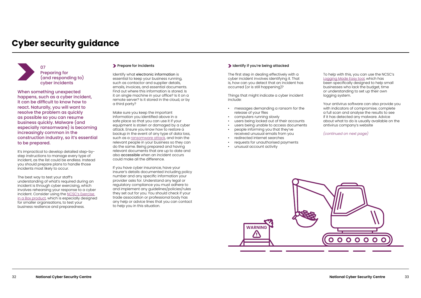When something unexpected happens, such as a cyber incident, it can be difficult to know how to react. Naturally, you will want to resolve the problem as quickly as possible so you can resume business quickly. Malware (and especially ransomware) is becoming increasingly common in the construction industry, so it's essential to be prepared.

It's impractical to develop detailed step-bystep instructions to manage every type of incident, as the list could be endless. Instead you should prepare plans to handle those incidents most likely to occur.

The best way to test your staff's understanding of what's required during an incident is through cyber exercising, which involves rehearsing your response to a cyber incident. Consider using the [NCSC's Exercise](https://www.ncsc.gov.uk/information/exercise-in-a-box)  [in a Box product,](https://www.ncsc.gov.uk/information/exercise-in-a-box) which is especially designed for smaller organisations, to test your business resilience and preparedness.

#### **Prepare for incidents**

Identify what electronic information is essential to keep your business running, such as contactor and supplier details, emails, invoices, and essential documents. Find out where this information is stored. Is it on single machine in your office? Is it on a remote server? Is it stored in the cloud, or by a third party?

Make sure you keep the important information you identified above in a safe place so that you can use it if your equipment is stolen or damaged by a cyber attack. Ensure you know how to restore a backup in the event of any type of data loss, such as a [ransomware attack](https://www.ncsc.gov.uk/guidance/mitigating-malware-and-ransomware-attacks), and train the relevant people in your business so they can do the same. Being prepared and having relevant documents that are up to date and also accessible when an incident occurs could make all the difference.

If you have cyber insurance, have your insurer's details documented including policy number and any specific information your provider asks for. Understand any legal or regulatory compliance you must adhere to and implement any guidelines/policies/rules they set out for you. You should check if your trade association or professional body has any help or advice lines that you can contact to help you in this situation.

#### Identify if you're being attacked

The first step in dealing effectively with a cyber incident involves identifying it. That is, how can you detect that an incident has occurred (or is still happening)?

Things that might indicate a cyber incident include:

- messages demanding a ransom for the release of your files
- computers running slowly
- users being locked out of their accounts
- users being unable to access documents
- people informing you that they've received unusual emails from you
- redirected internet searches
- requests for unauthorised payments
- unusual account activity

To help with this, you can use the NCSC's [Logging Made Easy tool](https://www.ncsc.gov.uk/blog-post/logging-made-easy), which has been specifically designed to help small businesses who lack the budget, time or understanding to set up their own logging system.

Your antivirus software can also provide you with indicators of compromise; complete a full scan and analyse the results to see if it has detected any malware. Advice about what to do is usually available on the antivirus company's website

*(continued on next page)*



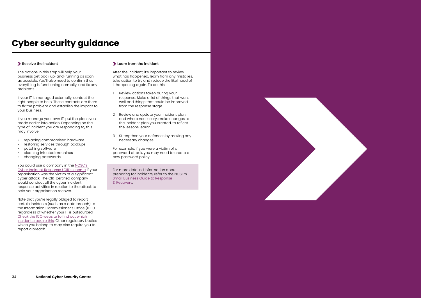The actions in this step will help your business get back up-and-running as soon as possible. You'll also need to confirm that everything is functioning normally, and fix any problems.

If your IT is managed externally, contact the right people to help. These contacts are there to fix the problem and establish the impact to your business.

If you manage your own IT, put the plans you made earlier into action. Depending on the type of incident you are responding to, this may involve:

- replacing compromised hardware
- restoring services through backups
- patching software
- cleaning infected machines
- changing passwords

You could use a company in the [NCSC's](https://www.ncsc.gov.uk/information/cir-cyber-incident-response)  [Cyber Incident Response \(CIR\) scheme](https://www.ncsc.gov.uk/information/cir-cyber-incident-response) if your organisation was the victim of a significant cyber attack. The CIR-certified company would conduct all the cyber incident response activities in relation to the attack to help your organisation recover.

Note that you're legally obliged to report certain incidents (such as a data breach) to the Information Commissioner's Office (ICO), regardless of whether your IT is outsourced. [Check the ICO website to find out which](https://ico.org.uk/for-organisations/report-a-breach/)  [incidents require this](https://ico.org.uk/for-organisations/report-a-breach/). Other regulatory bodies which you belong to may also require you to report a breach.

#### **Learn from the incident**

After the incident, it's important to review what has happened, learn from any mistakes, take action to try and reduce the likelihood of it happening again. To do this:

- 1. Review actions taken during your response. Make a list of things that went well and things that could be improved from the response stage.
- 2. Review and update your incident plan, and where necessary, make changes to the incident plan you created, to reflect the lessons learnt.
- 3. Strengthen your defences by making any necessary changes.

For example, if you were a victim of a password attack, you may need to create a new password policy.

For more detailed information about preparing for incidents, refer to the NCSC's [Small Business Guide to Response](https://www.ncsc.gov.uk/collection/small-business-guidance--response-and-recovery)  [& Recovery](https://www.ncsc.gov.uk/collection/small-business-guidance--response-and-recovery).



# **Cyber security guidance**

#### Resolve the incident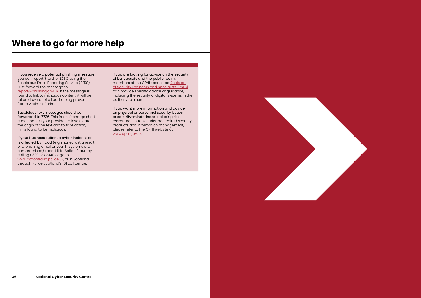### **Where to go for more help**

If you receive a potential phishing message, you can report it to the NCSC using the Suspicious Email Reporting Service (SERS). Just forward the message to [report@phishing.gov.uk](mailto:report@phishing.gov.uk). If the message is found to link to malicious content, it will be taken down or blocked, helping prevent future victims of crime.

Suspicious text messages should be forwarded to 7726. This free-of-charge short code enables your provider to investigate the origin of the text and to take action, if it is found to be malicious.

If your business suffers a cyber incident or is affected by fraud (e.g. money lost a result of a phishing email or your IT systems are compromised), report it to Action Fraud by calling 0300 123 2040 or go to [www.actionfraud.police.uk,](http://www.actionfraud.police.uk) or in Scotland through Police Scotland's 101 call centre.

If you are looking for advice on the security of built assets and the public realm, members of the CPNI sponsored [Register](https://www.rses.org.uk/)  [of Security Engineers and Specialists \(RSES\)](https://www.rses.org.uk/) can provide specific advice or guidance, including the security of digital systems in the built environment.

If you want more information and advice on physical or personnel security issues or security-mindedness, including risk assessment, site security, accredited security products and information management, please refer to the CPNI website at [www.cpni.gov.uk](http://www.cpni.gov.uk).